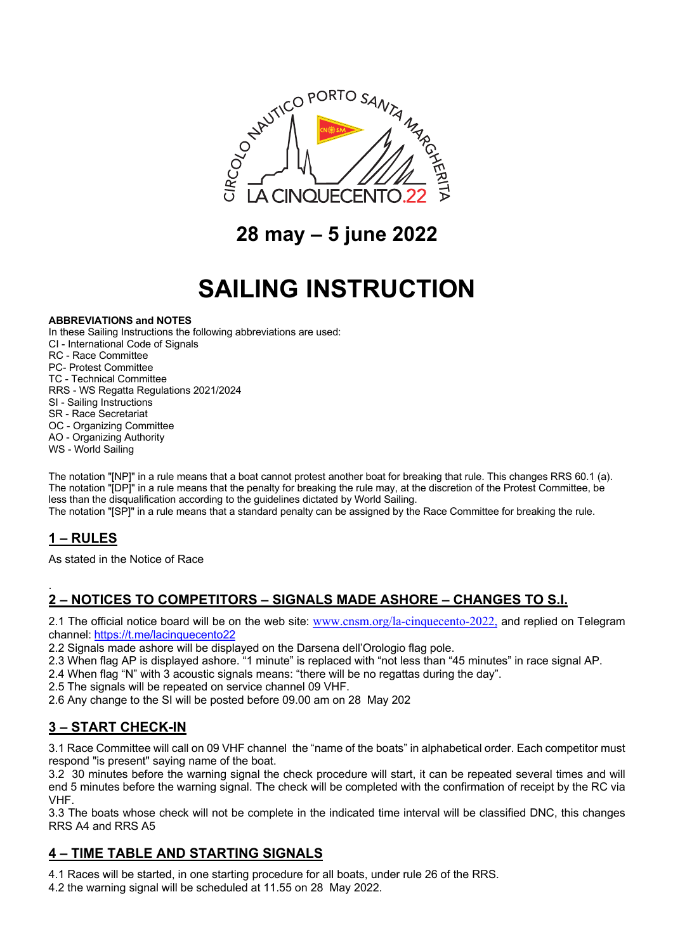

**28 may – 5 june 2022**

# **SAILING INSTRUCTION**

#### **ABBREVIATIONS and NOTES**

In these Sailing Instructions the following abbreviations are used:

- CI International Code of Signals
- RC Race Committee
- PC- Protest Committee
- TC Technical Committee
- RRS WS Regatta Regulations 2021/2024
- SI Sailing Instructions
- SR Race Secretariat
- OC Organizing Committee AO - Organizing Authority
- WS World Sailing

The notation "[NP]" in a rule means that a boat cannot protest another boat for breaking that rule. This changes RRS 60.1 (a). The notation "[DP]" in a rule means that the penalty for breaking the rule may, at the discretion of the Protest Committee, be less than the disqualification according to the guidelines dictated by World Sailing.

The notation "[SP]" in a rule means that a standard penalty can be assigned by the Race Committee for breaking the rule.

# **1 – RULES**

As stated in the Notice of Race

#### . **2 – NOTICES TO COMPETITORS – SIGNALS MADE ASHORE – CHANGES TO S.I.**

2.1 The official notice board will be on the web site: www.cnsm.org/la-cinquecento-2022, and replied on Telegram channel: https://t.me/lacinquecento22

2.2 Signals made ashore will be displayed on the Darsena dell'Orologio flag pole.

- 2.3 When flag AP is displayed ashore. "1 minute" is replaced with "not less than "45 minutes" in race signal AP.
- 2.4 When flag "N" with 3 acoustic signals means: "there will be no regattas during the day".
- 2.5 The signals will be repeated on service channel 09 VHF.

2.6 Any change to the SI will be posted before 09.00 am on 28 May 202

# **3 – START CHECK-IN**

3.1 Race Committee will call on 09 VHF channel the "name of the boats" in alphabetical order. Each competitor must respond "is present" saying name of the boat.

3.2 30 minutes before the warning signal the check procedure will start, it can be repeated several times and will end 5 minutes before the warning signal. The check will be completed with the confirmation of receipt by the RC via VHF.

3.3 The boats whose check will not be complete in the indicated time interval will be classified DNC, this changes RRS A4 and RRS A5

# **4 – TIME TABLE AND STARTING SIGNALS**

4.1 Races will be started, in one starting procedure for all boats, under rule 26 of the RRS.

4.2 the warning signal will be scheduled at 11.55 on 28 May 2022.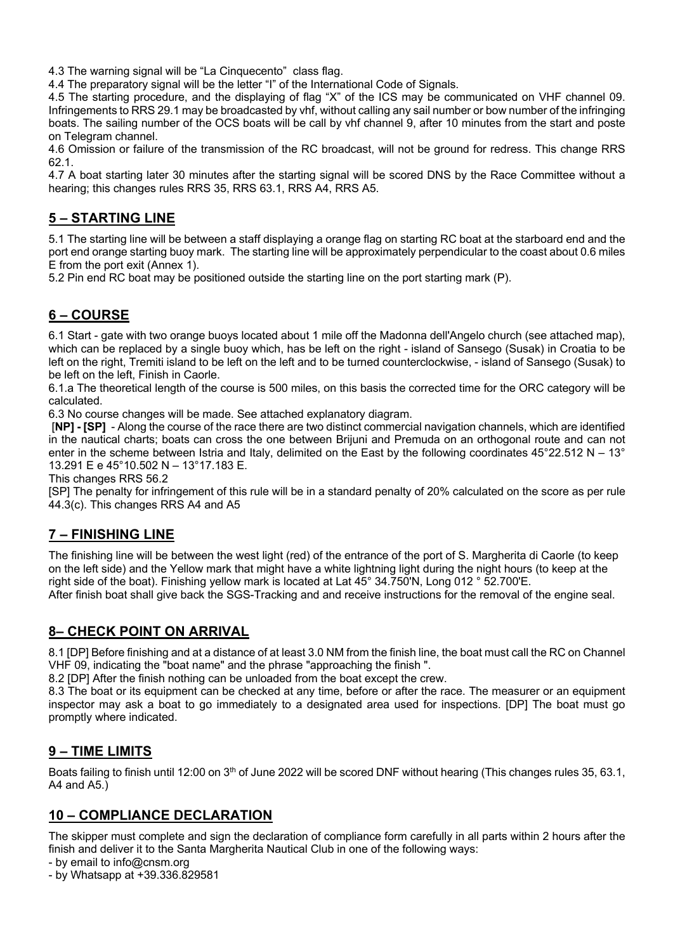4.3 The warning signal will be "La Cinquecento" class flag.

4.4 The preparatory signal will be the letter "I" of the International Code of Signals.

4.5 The starting procedure, and the displaying of flag "X" of the ICS may be communicated on VHF channel 09. Infringements to RRS 29.1 may be broadcasted by vhf, without calling any sail number or bow number of the infringing boats. The sailing number of the OCS boats will be call by vhf channel 9, after 10 minutes from the start and poste on Telegram channel.

4.6 Omission or failure of the transmission of the RC broadcast, will not be ground for redress. This change RRS 62.1.

4.7 A boat starting later 30 minutes after the starting signal will be scored DNS by the Race Committee without a hearing; this changes rules RRS 35, RRS 63.1, RRS A4, RRS A5.

#### **5 – STARTING LINE**

5.1 The starting line will be between a staff displaying a orange flag on starting RC boat at the starboard end and the port end orange starting buoy mark. The starting line will be approximately perpendicular to the coast about 0.6 miles E from the port exit (Annex 1).

5.2 Pin end RC boat may be positioned outside the starting line on the port starting mark (P).

#### **6 – COURSE**

6.1 Start - gate with two orange buoys located about 1 mile off the Madonna dell'Angelo church (see attached map), which can be replaced by a single buoy which, has be left on the right - island of Sansego (Susak) in Croatia to be left on the right, Tremiti island to be left on the left and to be turned counterclockwise, - island of Sansego (Susak) to be left on the left, Finish in Caorle.

6.1.a The theoretical length of the course is 500 miles, on this basis the corrected time for the ORC category will be calculated.

6.3 No course changes will be made. See attached explanatory diagram.

[**NP] - [SP]** - Along the course of the race there are two distinct commercial navigation channels, which are identified in the nautical charts; boats can cross the one between Brijuni and Premuda on an orthogonal route and can not enter in the scheme between Istria and Italy, delimited on the East by the following coordinates  $45^{\circ}22.512$  N – 13° 13.291 E e 45°10.502 N – 13°17.183 E.

This changes RRS 56.2

[SP] The penalty for infringement of this rule will be in a standard penalty of 20% calculated on the score as per rule 44.3(c). This changes RRS A4 and A5

#### **7 – FINISHING LINE**

The finishing line will be between the west light (red) of the entrance of the port of S. Margherita di Caorle (to keep on the left side) and the Yellow mark that might have a white lightning light during the night hours (to keep at the right side of the boat). Finishing yellow mark is located at Lat 45° 34.750'N, Long 012 ° 52.700'E.

After finish boat shall give back the SGS-Tracking and and receive instructions for the removal of the engine seal.

# **8– CHECK POINT ON ARRIVAL**

8.1 [DP] Before finishing and at a distance of at least 3.0 NM from the finish line, the boat must call the RC on Channel VHF 09, indicating the "boat name" and the phrase "approaching the finish ".

8.2 [DP] After the finish nothing can be unloaded from the boat except the crew.

8.3 The boat or its equipment can be checked at any time, before or after the race. The measurer or an equipment inspector may ask a boat to go immediately to a designated area used for inspections. [DP] The boat must go promptly where indicated.

#### **9 – TIME LIMITS**

Boats failing to finish until 12:00 on 3<sup>th</sup> of June 2022 will be scored DNF without hearing (This changes rules 35, 63.1, A4 and A5.)

#### **10 – COMPLIANCE DECLARATION**

The skipper must complete and sign the declaration of compliance form carefully in all parts within 2 hours after the finish and deliver it to the Santa Margherita Nautical Club in one of the following ways:

- by email to info@cnsm.org

- by Whatsapp at +39.336.829581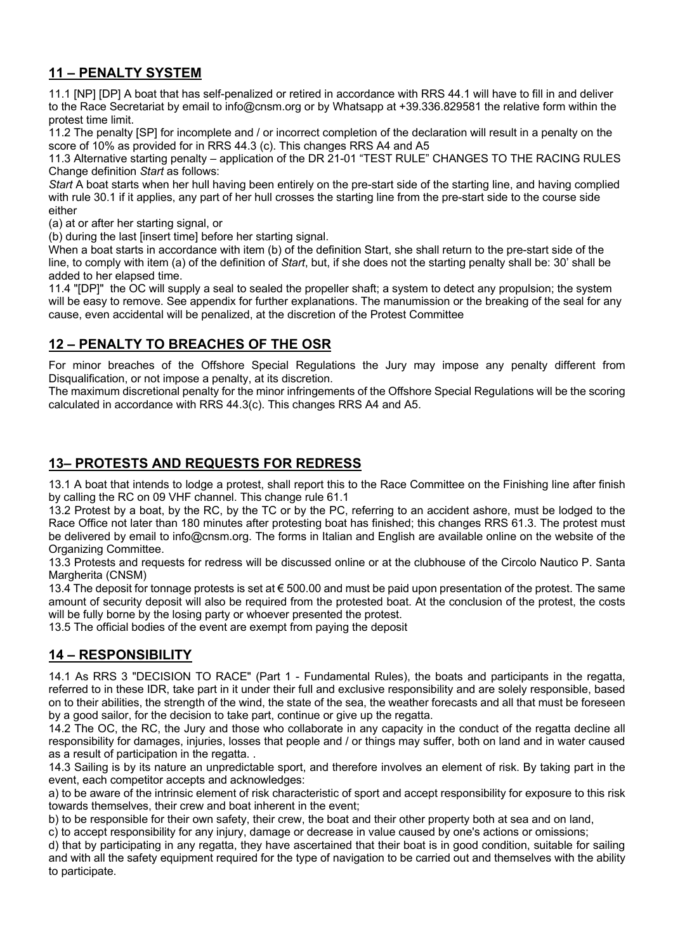# **11 – PENALTY SYSTEM**

11.1 [NP] [DP] A boat that has self-penalized or retired in accordance with RRS 44.1 will have to fill in and deliver to the Race Secretariat by email to info@cnsm.org or by Whatsapp at +39.336.829581 the relative form within the protest time limit.

11.2 The penalty [SP] for incomplete and / or incorrect completion of the declaration will result in a penalty on the score of 10% as provided for in RRS 44.3 (c). This changes RRS A4 and A5

11.3 Alternative starting penalty – application of the DR 21-01 "TEST RULE" CHANGES TO THE RACING RULES Change definition *Start* as follows:

*Start* A boat starts when her hull having been entirely on the pre-start side of the starting line, and having complied with rule 30.1 if it applies, any part of her hull crosses the starting line from the pre-start side to the course side either

(a) at or after her starting signal, or

(b) during the last [insert time] before her starting signal.

When a boat starts in accordance with item (b) of the definition Start, she shall return to the pre-start side of the line, to comply with item (a) of the definition of *Start*, but, if she does not the starting penalty shall be: 30' shall be added to her elapsed time.

11.4 "[DP]" the OC will supply a seal to sealed the propeller shaft; a system to detect any propulsion; the system will be easy to remove. See appendix for further explanations. The manumission or the breaking of the seal for any cause, even accidental will be penalized, at the discretion of the Protest Committee

#### **12 – PENALTY TO BREACHES OF THE OSR**

For minor breaches of the Offshore Special Regulations the Jury may impose any penalty different from Disqualification, or not impose a penalty, at its discretion.

The maximum discretional penalty for the minor infringements of the Offshore Special Regulations will be the scoring calculated in accordance with RRS 44.3(c). This changes RRS A4 and A5.

#### **13– PROTESTS AND REQUESTS FOR REDRESS**

13.1 A boat that intends to lodge a protest, shall report this to the Race Committee on the Finishing line after finish by calling the RC on 09 VHF channel. This change rule 61.1

13.2 Protest by a boat, by the RC, by the TC or by the PC, referring to an accident ashore, must be lodged to the Race Office not later than 180 minutes after protesting boat has finished; this changes RRS 61.3. The protest must be delivered by email to info@cnsm.org. The forms in Italian and English are available online on the website of the Organizing Committee.

13.3 Protests and requests for redress will be discussed online or at the clubhouse of the Circolo Nautico P. Santa Margherita (CNSM)

13.4 The deposit for tonnage protests is set at € 500.00 and must be paid upon presentation of the protest. The same amount of security deposit will also be required from the protested boat. At the conclusion of the protest, the costs will be fully borne by the losing party or whoever presented the protest.

13.5 The official bodies of the event are exempt from paying the deposit

# **14 – RESPONSIBILITY**

14.1 As RRS 3 "DECISION TO RACE" (Part 1 - Fundamental Rules), the boats and participants in the regatta, referred to in these IDR, take part in it under their full and exclusive responsibility and are solely responsible, based on to their abilities, the strength of the wind, the state of the sea, the weather forecasts and all that must be foreseen by a good sailor, for the decision to take part, continue or give up the regatta.

14.2 The OC, the RC, the Jury and those who collaborate in any capacity in the conduct of the regatta decline all responsibility for damages, injuries, losses that people and / or things may suffer, both on land and in water caused as a result of participation in the regatta. .

14.3 Sailing is by its nature an unpredictable sport, and therefore involves an element of risk. By taking part in the event, each competitor accepts and acknowledges:

a) to be aware of the intrinsic element of risk characteristic of sport and accept responsibility for exposure to this risk towards themselves, their crew and boat inherent in the event;

b) to be responsible for their own safety, their crew, the boat and their other property both at sea and on land,

c) to accept responsibility for any injury, damage or decrease in value caused by one's actions or omissions;

d) that by participating in any regatta, they have ascertained that their boat is in good condition, suitable for sailing and with all the safety equipment required for the type of navigation to be carried out and themselves with the ability to participate.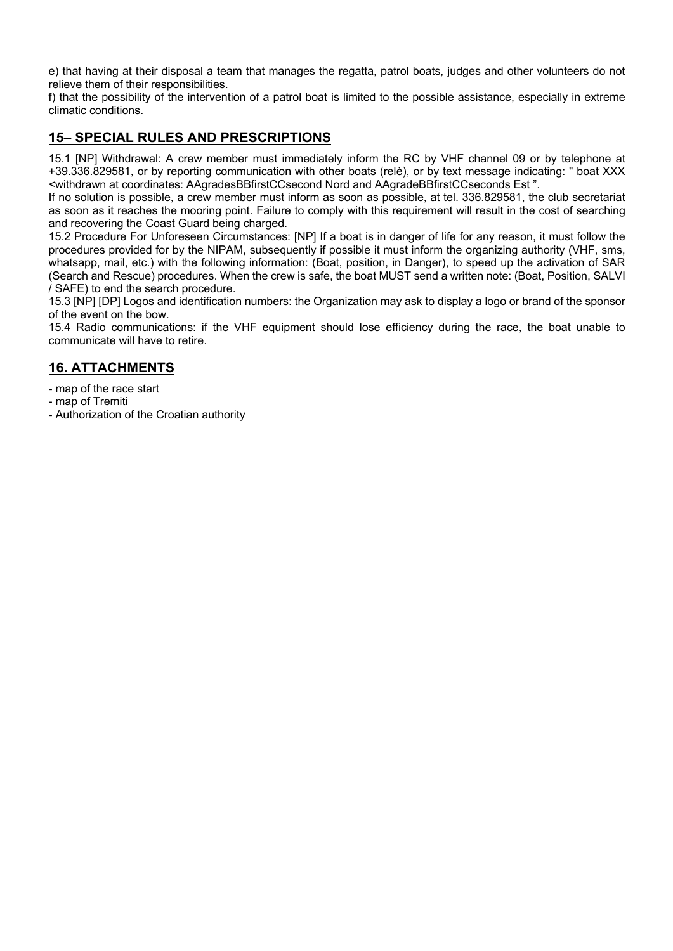e) that having at their disposal a team that manages the regatta, patrol boats, judges and other volunteers do not relieve them of their responsibilities.

f) that the possibility of the intervention of a patrol boat is limited to the possible assistance, especially in extreme climatic conditions.

#### **15– SPECIAL RULES AND PRESCRIPTIONS**

15.1 [NP] Withdrawal: A crew member must immediately inform the RC by VHF channel 09 or by telephone at +39.336.829581, or by reporting communication with other boats (relè), or by text message indicating: " boat XXX <withdrawn at coordinates: AAgradesBBfirstCCsecond Nord and AAgradeBBfirstCCseconds Est ".

If no solution is possible, a crew member must inform as soon as possible, at tel. 336.829581, the club secretariat as soon as it reaches the mooring point. Failure to comply with this requirement will result in the cost of searching and recovering the Coast Guard being charged.

15.2 Procedure For Unforeseen Circumstances: [NP] If a boat is in danger of life for any reason, it must follow the procedures provided for by the NIPAM, subsequently if possible it must inform the organizing authority (VHF, sms, whatsapp, mail, etc.) with the following information: (Boat, position, in Danger), to speed up the activation of SAR (Search and Rescue) procedures. When the crew is safe, the boat MUST send a written note: (Boat, Position, SALVI / SAFE) to end the search procedure.

15.3 [NP] [DP] Logos and identification numbers: the Organization may ask to display a logo or brand of the sponsor of the event on the bow.

15.4 Radio communications: if the VHF equipment should lose efficiency during the race, the boat unable to communicate will have to retire.

#### **16. ATTACHMENTS**

- map of the race start
- map of Tremiti
- Authorization of the Croatian authority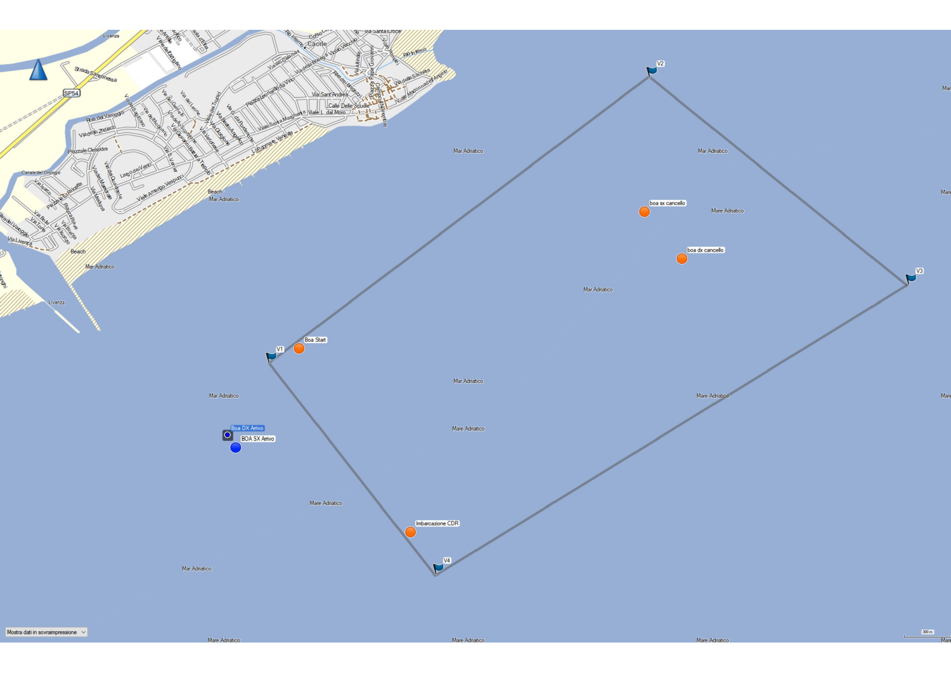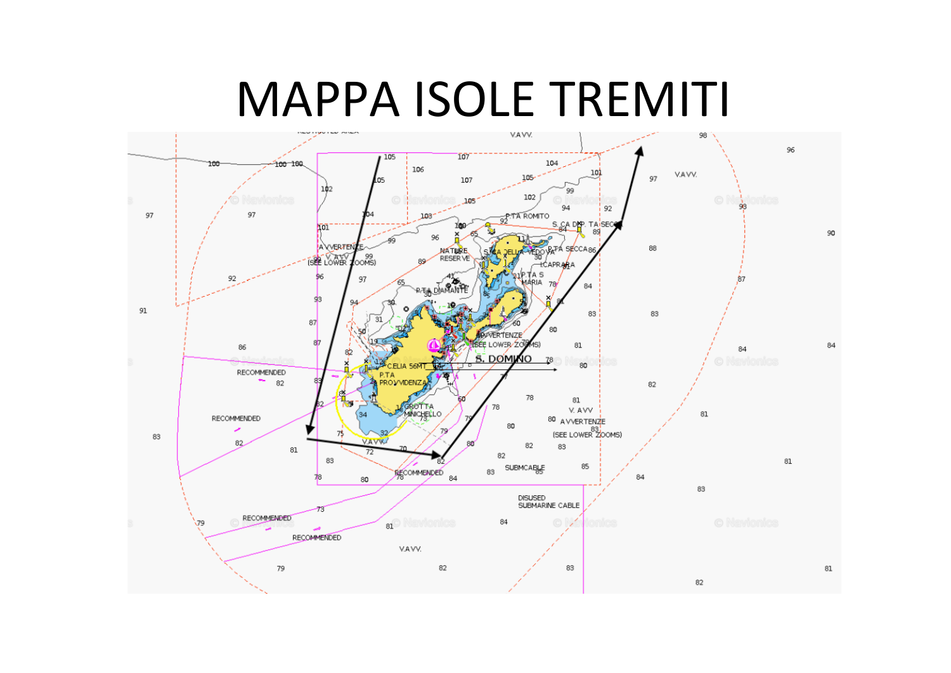# MAPPA ISOLE TREMITI

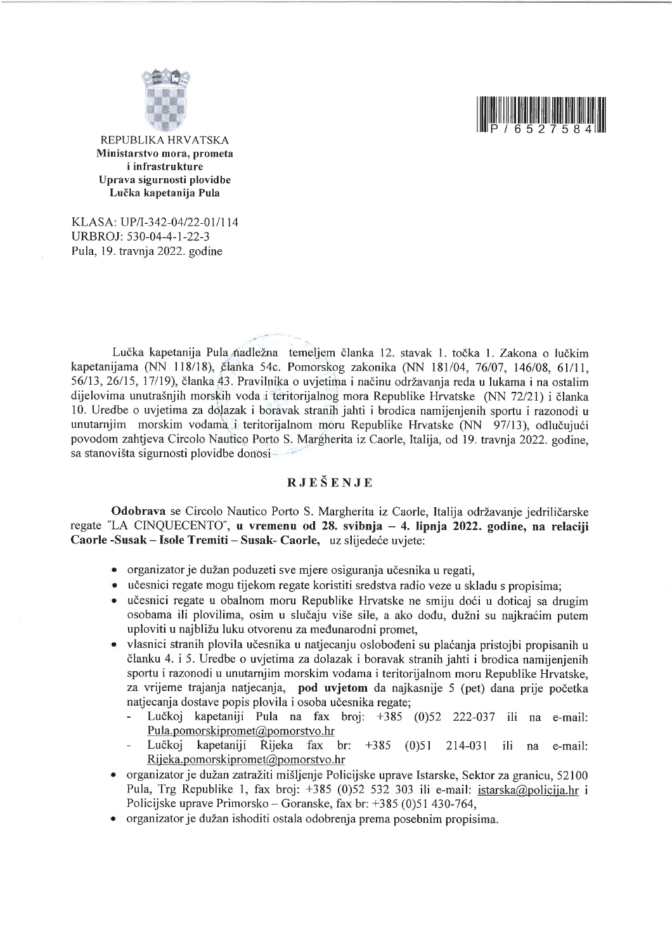



REPUBLIKA HRVATSKA Ministarstvo mora, prometa i infrastrukture Uprava sigurnosti plovidbe Lučka kapetanija Pula

KLASA: UP/I-342-04/22-01/114 URBROJ: 530-04-4-1-22-3 Pula, 19. travnia 2022. godine

Lučka kapetanija Pula nadležna temeljem članka 12. stavak 1. točka 1. Zakona o lučkim kapetanijama (NN 118/18), članka 54c. Pomorskog zakonika (NN 181/04, 76/07, 146/08, 61/11, 56/13, 26/15, 17/19), članka 43. Pravilnika o uvjetima i načinu održavanja reda u lukama i na ostalim dijelovima unutrašnjih morskih voda i teritorijalnog mora Republike Hrvatske (NN 72/21) i članka 10. Uredbe o uvjetima za dolazak i boravak stranih jahti i brodica namijenjenih sportu i razonodi u unutarnjim morskim vodama i teritorijalnom moru Republike Hrvatske (NN 97/13), odlučujući povodom zahtjeva Circolo Nautico Porto S. Margherita iz Caorle, Italija, od 19. travnja 2022. godine, sa stanovišta sigurnosti plovidbe donosi-

#### RJEŠENJE

Odobrava se Circolo Nautico Porto S. Margherita iz Caorle, Italija održavanje jedriličarske regate "LA CINQUECENTO", u vremenu od 28. svibnja – 4. lipnja 2022. godine, na relaciji Caorle-Susak – Isole Tremiti – Susak- Caorle, uz slijedeće uvjete:

- organizator je dužan poduzeti sve mjere osiguranja učesnika u regati,
- · učesnici regate mogu tijekom regate koristiti sredstva radio veze u skladu s propisima;
- učesnici regate u obalnom moru Republike Hrvatske ne smiju doći u doticaj sa drugim osobama ili plovilima, osim u slučaju više sile, a ako dođu, dužni su naikraćim putem uploviti u najbližu luku otvorenu za međunarodni promet,
- vlasnici stranih plovila učesnika u natjecanju oslobođeni su plaćanja pristojbi propisanih u članku 4. i 5. Uredbe o uvjetima za dolazak i boravak stranih jahti i brodica namijenjenih sportu i razonodi u unutarnjim morskim vodama i teritorijalnom moru Republike Hrvatske. za vrijeme trajanja natjecanja, pod uvjetom da najkasnije 5 (pet) dana prije početka natjecanja dostave popis plovila i osoba učesnika regate;
	- Lučkoj kapetaniji Pula na fax broj: +385 (0)52 222-037 ili na e-mail: Pula.pomorskipromet@pomorstvo.hr
	- Lučkoj kapetaniji Rijeka fax br:  $+385$  (0)51 214-031 ili na e-mail: Rijeka.pomorskipromet@pomorstvo.hr
- organizator je dužan zatražiti mišljenje Policijske uprave Istarske, Sektor za granicu, 52100 Pula, Trg Republike 1, fax broj: +385 (0)52 532 303 ili e-mail: istarska@policija.hr i Policijske uprave Primorsko - Goranske, fax br: +385 (0)51 430-764,
- organizator je dužan ishoditi ostala odobrenja prema posebnim propisima.